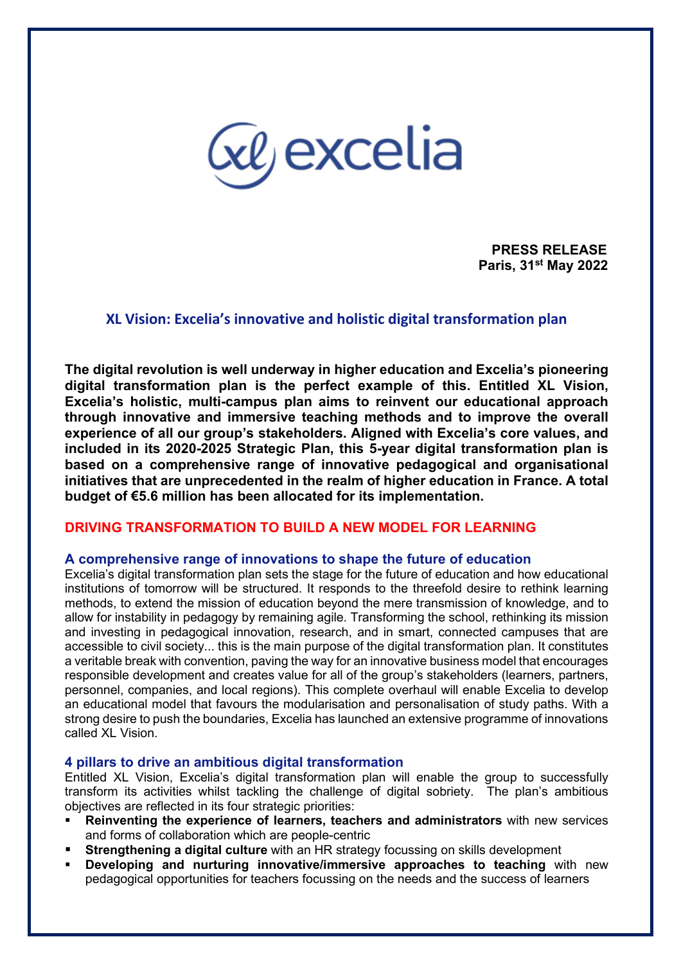

**PRESS RELEASE Paris, 31st May 2022**

# **XL Vision: Excelia's innovative and holistic digital transformation plan**

**The digital revolution is well underway in higher education and Excelia's pioneering digital transformation plan is the perfect example of this. Entitled XL Vision, Excelia's holistic, multi-campus plan aims to reinvent our educational approach through innovative and immersive teaching methods and to improve the overall experience of all our group's stakeholders. Aligned with Excelia's core values, and included in its 2020-2025 Strategic Plan, this 5-year digital transformation plan is based on a comprehensive range of innovative pedagogical and organisational initiatives that are unprecedented in the realm of higher education in France. A total budget of €5.6 million has been allocated for its implementation.**

### **DRIVING TRANSFORMATION TO BUILD A NEW MODEL FOR LEARNING**

### **A comprehensive range of innovations to shape the future of education**

Excelia's digital transformation plan sets the stage for the future of education and how educational institutions of tomorrow will be structured. It responds to the threefold desire to rethink learning methods, to extend the mission of education beyond the mere transmission of knowledge, and to allow for instability in pedagogy by remaining agile. Transforming the school, rethinking its mission and investing in pedagogical innovation, research, and in smart, connected campuses that are accessible to civil society... this is the main purpose of the digital transformation plan. It constitutes a veritable break with convention, paving the way for an innovative business model that encourages responsible development and creates value for all of the group's stakeholders (learners, partners, personnel, companies, and local regions). This complete overhaul will enable Excelia to develop an educational model that favours the modularisation and personalisation of study paths. With a strong desire to push the boundaries, Excelia has launched an extensive programme of innovations called XL Vision.

### **4 pillars to drive an ambitious digital transformation**

Entitled XL Vision, Excelia's digital transformation plan will enable the group to successfully transform its activities whilst tackling the challenge of digital sobriety. The plan's ambitious objectives are reflected in its four strategic priorities:

- **Reinventing the experience of learners, teachers and administrators** with new services and forms of collaboration which are people-centric
- **Strengthening a digital culture** with an HR strategy focussing on skills development
- **Developing and nurturing innovative/immersive approaches to teaching** with new pedagogical opportunities for teachers focussing on the needs and the success of learners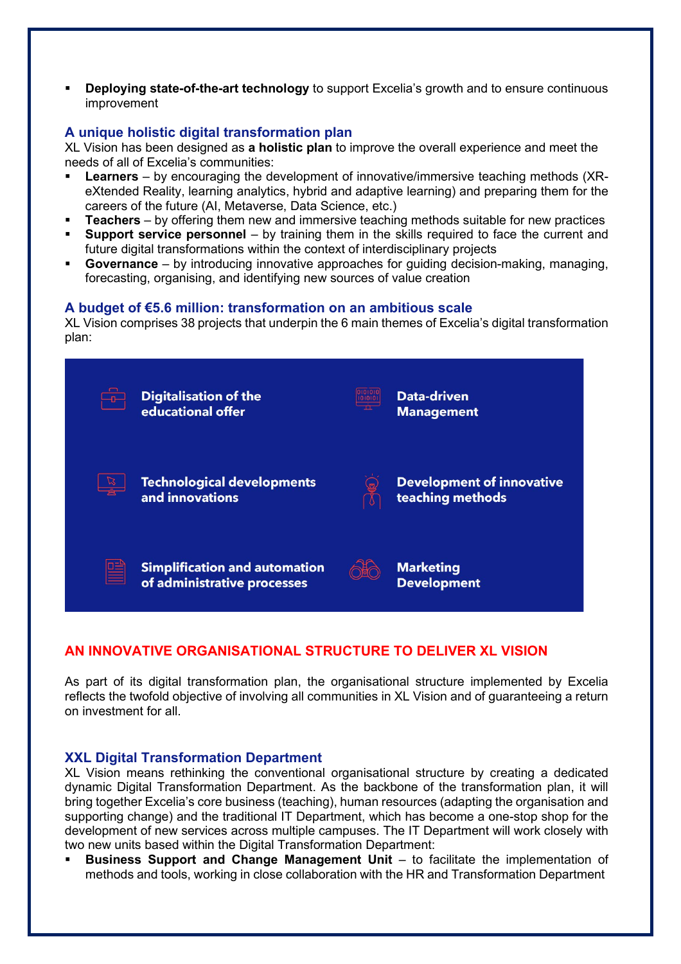**Deploying state-of-the-art technology** to support Excelia's growth and to ensure continuous improvement

# **A unique holistic digital transformation plan**

XL Vision has been designed as **a holistic plan** to improve the overall experience and meet the needs of all of Excelia's communities:

- **Learners** by encouraging the development of innovative/immersive teaching methods (XReXtended Reality, learning analytics, hybrid and adaptive learning) and preparing them for the careers of the future (AI, Metaverse, Data Science, etc.)
- **Teachers** by offering them new and immersive teaching methods suitable for new practices
- **Support service personnel** by training them in the skills required to face the current and future digital transformations within the context of interdisciplinary projects
- **Governance** by introducing innovative approaches for guiding decision-making, managing, forecasting, organising, and identifying new sources of value creation

### **A budget of €5.6 million: transformation on an ambitious scale**

XL Vision comprises 38 projects that underpin the 6 main themes of Excelia's digital transformation plan:



# **AN INNOVATIVE ORGANISATIONAL STRUCTURE TO DELIVER XL VISION**

As part of its digital transformation plan, the organisational structure implemented by Excelia reflects the twofold objective of involving all communities in XL Vision and of guaranteeing a return on investment for all.

### **XXL Digital Transformation Department**

XL Vision means rethinking the conventional organisational structure by creating a dedicated dynamic Digital Transformation Department. As the backbone of the transformation plan, it will bring together Excelia's core business (teaching), human resources (adapting the organisation and supporting change) and the traditional IT Department, which has become a one-stop shop for the development of new services across multiple campuses. The IT Department will work closely with two new units based within the Digital Transformation Department:

 **Business Support and Change Management Unit** – to facilitate the implementation of methods and tools, working in close collaboration with the HR and Transformation Department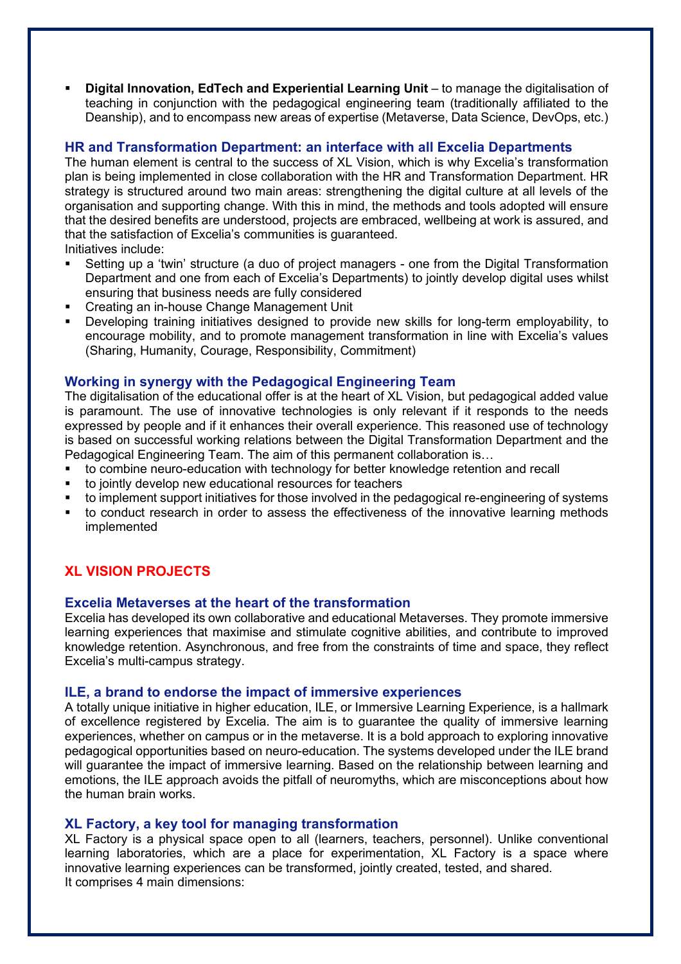**Digital Innovation, EdTech and Experiential Learning Unit** – to manage the digitalisation of teaching in conjunction with the pedagogical engineering team (traditionally affiliated to the Deanship), and to encompass new areas of expertise (Metaverse, Data Science, DevOps, etc.)

### **HR and Transformation Department: an interface with all Excelia Departments**

The human element is central to the success of XL Vision, which is why Excelia's transformation plan is being implemented in close collaboration with the HR and Transformation Department. HR strategy is structured around two main areas: strengthening the digital culture at all levels of the organisation and supporting change. With this in mind, the methods and tools adopted will ensure that the desired benefits are understood, projects are embraced, wellbeing at work is assured, and that the satisfaction of Excelia's communities is guaranteed.

Initiatives include:

- Setting up a 'twin' structure (a duo of project managers one from the Digital Transformation Department and one from each of Excelia's Departments) to jointly develop digital uses whilst ensuring that business needs are fully considered
- Creating an in-house Change Management Unit
- Developing training initiatives designed to provide new skills for long-term employability, to encourage mobility, and to promote management transformation in line with Excelia's values (Sharing, Humanity, Courage, Responsibility, Commitment)

# **Working in synergy with the Pedagogical Engineering Team**

The digitalisation of the educational offer is at the heart of XL Vision, but pedagogical added value is paramount. The use of innovative technologies is only relevant if it responds to the needs expressed by people and if it enhances their overall experience. This reasoned use of technology is based on successful working relations between the Digital Transformation Department and the Pedagogical Engineering Team. The aim of this permanent collaboration is…

- to combine neuro-education with technology for better knowledge retention and recall
- to jointly develop new educational resources for teachers
- to implement support initiatives for those involved in the pedagogical re-engineering of systems
- to conduct research in order to assess the effectiveness of the innovative learning methods implemented

# **XL VISION PROJECTS**

### **Excelia Metaverses at the heart of the transformation**

Excelia has developed its own collaborative and educational Metaverses. They promote immersive learning experiences that maximise and stimulate cognitive abilities, and contribute to improved knowledge retention. Asynchronous, and free from the constraints of time and space, they reflect Excelia's multi-campus strategy.

### **ILE, a brand to endorse the impact of immersive experiences**

A totally unique initiative in higher education, ILE, or Immersive Learning Experience, is a hallmark of excellence registered by Excelia. The aim is to guarantee the quality of immersive learning experiences, whether on campus or in the metaverse. It is a bold approach to exploring innovative pedagogical opportunities based on neuro-education. The systems developed under the ILE brand will guarantee the impact of immersive learning. Based on the relationship between learning and emotions, the ILE approach avoids the pitfall of neuromyths, which are misconceptions about how the human brain works.

### **XL Factory, a key tool for managing transformation**

XL Factory is a physical space open to all (learners, teachers, personnel). Unlike conventional learning laboratories, which are a place for experimentation, XL Factory is a space where innovative learning experiences can be transformed, jointly created, tested, and shared. It comprises 4 main dimensions: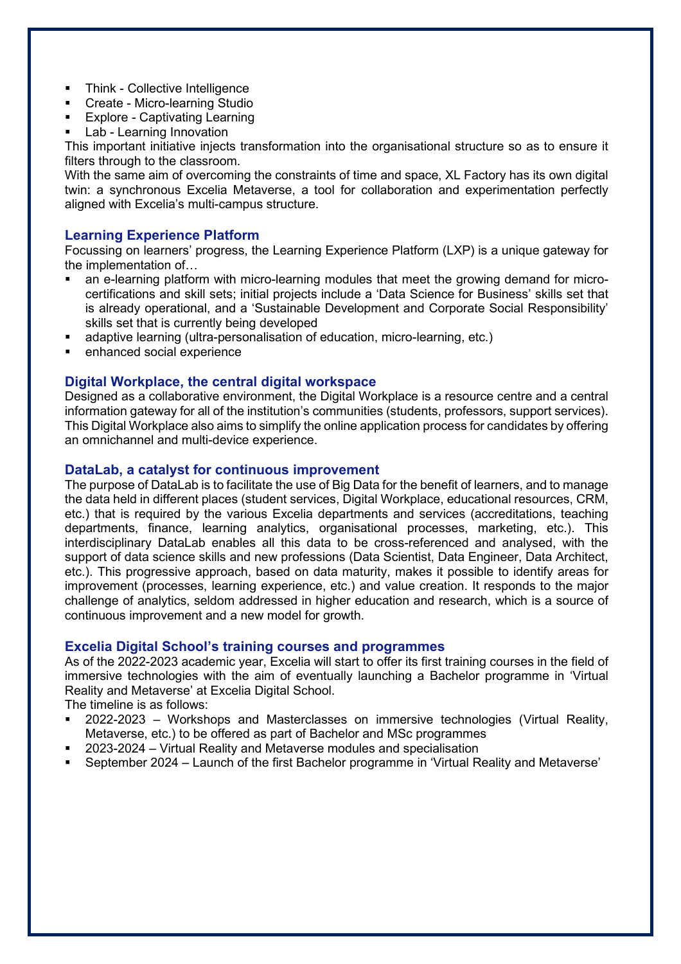- Think Collective Intelligence
- Create Micro-learning Studio
- Explore Captivating Learning
- Lab Learning Innovation

This important initiative injects transformation into the organisational structure so as to ensure it filters through to the classroom.

With the same aim of overcoming the constraints of time and space, XL Factory has its own digital twin: a synchronous Excelia Metaverse, a tool for collaboration and experimentation perfectly aligned with Excelia's multi-campus structure.

# **Learning Experience Platform**

Focussing on learners' progress, the Learning Experience Platform (LXP) is a unique gateway for the implementation of…

- an e-learning platform with micro-learning modules that meet the growing demand for microcertifications and skill sets; initial projects include a 'Data Science for Business' skills set that is already operational, and a 'Sustainable Development and Corporate Social Responsibility' skills set that is currently being developed
- adaptive learning (ultra-personalisation of education, micro-learning, etc.)
- enhanced social experience

### **Digital Workplace, the central digital workspace**

Designed as a collaborative environment, the Digital Workplace is a resource centre and a central information gateway for all of the institution's communities (students, professors, support services). This Digital Workplace also aims to simplify the online application process for candidates by offering an omnichannel and multi-device experience.

### **DataLab, a catalyst for continuous improvement**

The purpose of DataLab is to facilitate the use of Big Data for the benefit of learners, and to manage the data held in different places (student services, Digital Workplace, educational resources, CRM, etc.) that is required by the various Excelia departments and services (accreditations, teaching departments, finance, learning analytics, organisational processes, marketing, etc.). This interdisciplinary DataLab enables all this data to be cross-referenced and analysed, with the support of data science skills and new professions (Data Scientist, Data Engineer, Data Architect, etc.). This progressive approach, based on data maturity, makes it possible to identify areas for improvement (processes, learning experience, etc.) and value creation. It responds to the major challenge of analytics, seldom addressed in higher education and research, which is a source of continuous improvement and a new model for growth.

### **Excelia Digital School's training courses and programmes**

As of the 2022-2023 academic year, Excelia will start to offer its first training courses in the field of immersive technologies with the aim of eventually launching a Bachelor programme in 'Virtual Reality and Metaverse' at Excelia Digital School.

The timeline is as follows:

- 2022-2023 Workshops and Masterclasses on immersive technologies (Virtual Reality, Metaverse, etc.) to be offered as part of Bachelor and MSc programmes
- 2023-2024 Virtual Reality and Metaverse modules and specialisation
- September 2024 Launch of the first Bachelor programme in 'Virtual Reality and Metaverse'